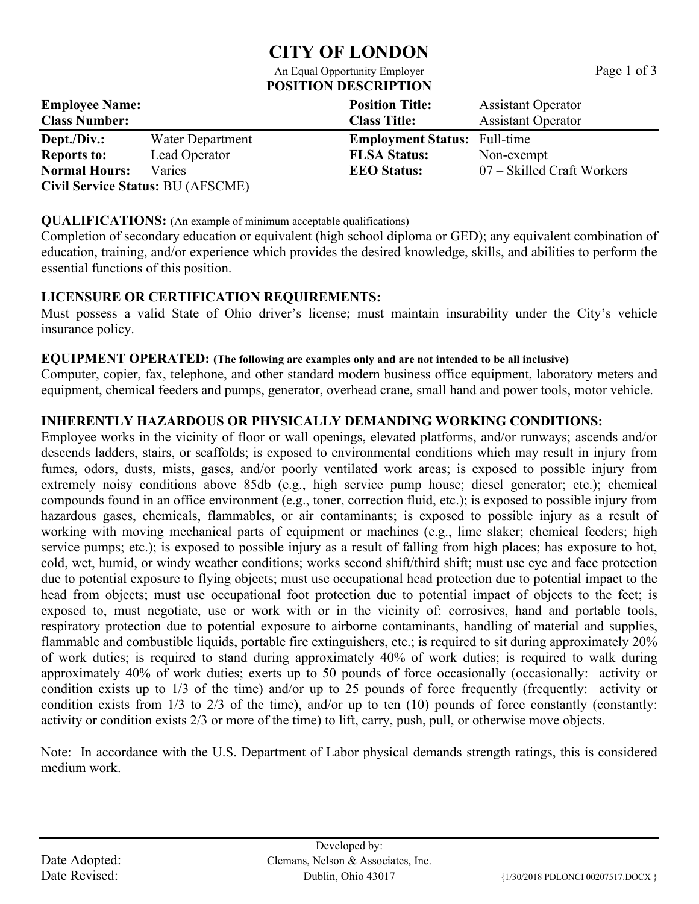## **CITY OF LONDON**

#### An Equal Opportunity Employer Page 1 of 3 **POSITION DESCRIPTION**

**Employee Name: Position Title:** Assistant Operator **Class Number: Class Title:** Assistant Operator **Dept./Div.:** Water Department **Employment Status:** Full-time **Reports to:** Lead Operator **FLSA Status:** Non-exempt **Normal Hours:** Varies **Varies EEO Status:** 07 – Skilled Craft Workers **Civil Service Status:** BU (AFSCME)

### **QUALIFICATIONS:** (An example of minimum acceptable qualifications)

Completion of secondary education or equivalent (high school diploma or GED); any equivalent combination of education, training, and/or experience which provides the desired knowledge, skills, and abilities to perform the essential functions of this position.

## **LICENSURE OR CERTIFICATION REQUIREMENTS:**

Must possess a valid State of Ohio driver's license; must maintain insurability under the City's vehicle insurance policy.

## **EQUIPMENT OPERATED: (The following are examples only and are not intended to be all inclusive)**

Computer, copier, fax, telephone, and other standard modern business office equipment, laboratory meters and equipment, chemical feeders and pumps, generator, overhead crane, small hand and power tools, motor vehicle.

## **INHERENTLY HAZARDOUS OR PHYSICALLY DEMANDING WORKING CONDITIONS:**

Employee works in the vicinity of floor or wall openings, elevated platforms, and/or runways; ascends and/or descends ladders, stairs, or scaffolds; is exposed to environmental conditions which may result in injury from fumes, odors, dusts, mists, gases, and/or poorly ventilated work areas; is exposed to possible injury from extremely noisy conditions above 85db (e.g., high service pump house; diesel generator; etc.); chemical compounds found in an office environment (e.g., toner, correction fluid, etc.); is exposed to possible injury from hazardous gases, chemicals, flammables, or air contaminants; is exposed to possible injury as a result of working with moving mechanical parts of equipment or machines (e.g., lime slaker; chemical feeders; high service pumps; etc.); is exposed to possible injury as a result of falling from high places; has exposure to hot, cold, wet, humid, or windy weather conditions; works second shift/third shift; must use eye and face protection due to potential exposure to flying objects; must use occupational head protection due to potential impact to the head from objects; must use occupational foot protection due to potential impact of objects to the feet; is exposed to, must negotiate, use or work with or in the vicinity of: corrosives, hand and portable tools, respiratory protection due to potential exposure to airborne contaminants, handling of material and supplies, flammable and combustible liquids, portable fire extinguishers, etc.; is required to sit during approximately 20% of work duties; is required to stand during approximately 40% of work duties; is required to walk during approximately 40% of work duties; exerts up to 50 pounds of force occasionally (occasionally: activity or condition exists up to 1/3 of the time) and/or up to 25 pounds of force frequently (frequently: activity or condition exists from 1/3 to 2/3 of the time), and/or up to ten (10) pounds of force constantly (constantly: activity or condition exists 2/3 or more of the time) to lift, carry, push, pull, or otherwise move objects.

Note: In accordance with the U.S. Department of Labor physical demands strength ratings, this is considered medium work.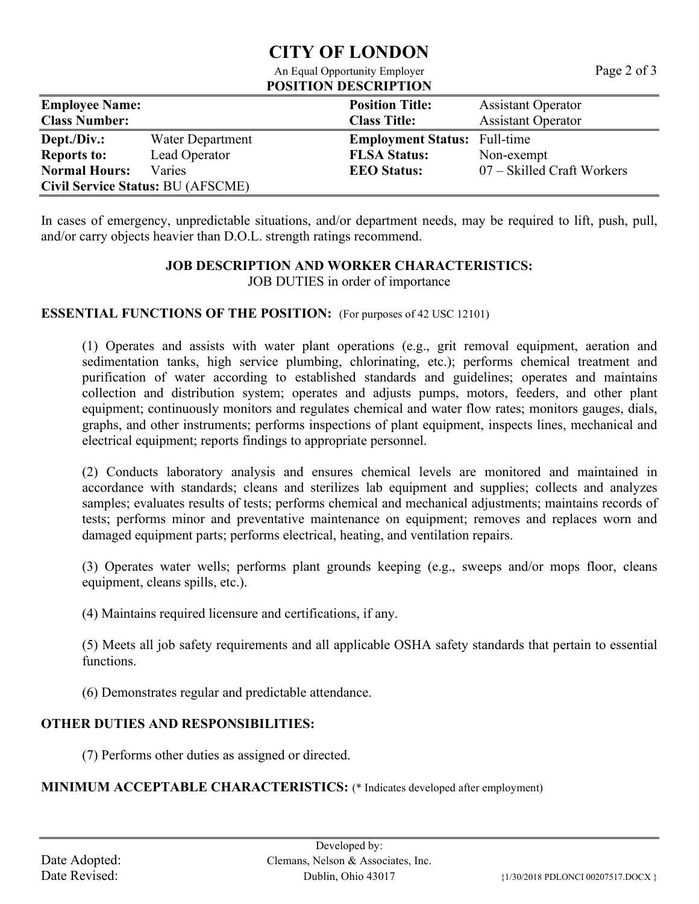## **CITY OF LONDON**

#### An Equal Opportunity Employer Page 2 of 3 **POSITION DESCRIPTION**

**Employee Name: Position Title:** Assistant Operator **Class Number: Class Title:** Assistant Operator **Dept./Div.:** Water Department **Employment Status:** Full-time **Reports to:** Lead Operator **FLSA Status:** Non-exem Lead Operator **FLSA Status:** Non-exempt **Normal Hours:** Varies **Varies EEO Status:** 07 – Skilled Craft Workers **Civil Service Status:** BU (AFSCME)

In cases of emergency, unpredictable situations, and/or department needs, may be required to lift, push, pull, and/or carry objects heavier than D.O.L. strength ratings recommend.

# **JOB DESCRIPTION AND WORKER CHARACTERISTICS:**

JOB DUTIES in order of importance

## **ESSENTIAL FUNCTIONS OF THE POSITION:** (For purposes of 42 USC 12101)

(1) Operates and assists with water plant operations (e.g., grit removal equipment, aeration and sedimentation tanks, high service plumbing, chlorinating, etc.); performs chemical treatment and purification of water according to established standards and guidelines; operates and maintains collection and distribution system; operates and adjusts pumps, motors, feeders, and other plant equipment; continuously monitors and regulates chemical and water flow rates; monitors gauges, dials, graphs, and other instruments; performs inspections of plant equipment, inspects lines, mechanical and electrical equipment; reports findings to appropriate personnel.

(2) Conducts laboratory analysis and ensures chemical levels are monitored and maintained in accordance with standards; cleans and sterilizes lab equipment and supplies; collects and analyzes samples; evaluates results of tests; performs chemical and mechanical adjustments; maintains records of tests; performs minor and preventative maintenance on equipment; removes and replaces worn and damaged equipment parts; performs electrical, heating, and ventilation repairs.

(3) Operates water wells; performs plant grounds keeping (e.g., sweeps and/or mops floor, cleans equipment, cleans spills, etc.).

(4) Maintains required licensure and certifications, if any.

(5) Meets all job safety requirements and all applicable OSHA safety standards that pertain to essential functions.

(6) Demonstrates regular and predictable attendance.

## **OTHER DUTIES AND RESPONSIBILITIES:**

(7) Performs other duties as assigned or directed.

**MINIMUM ACCEPTABLE CHARACTERISTICS:** (\* Indicates developed after employment)